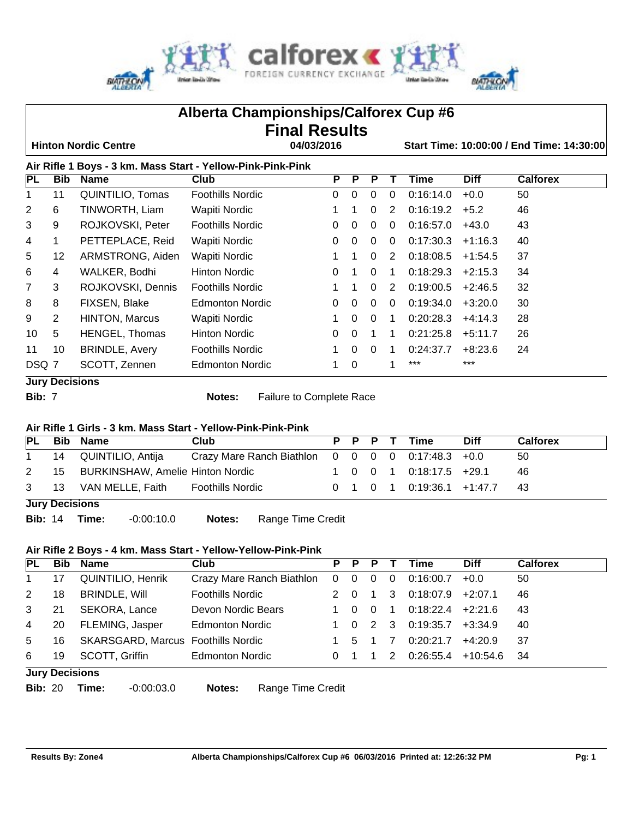

|                                                                                        |                |                                                             | Alberta Championships/Calforex Cup #6 |                      |              |              |              |           |             |                 |  |
|----------------------------------------------------------------------------------------|----------------|-------------------------------------------------------------|---------------------------------------|----------------------|--------------|--------------|--------------|-----------|-------------|-----------------|--|
|                                                                                        |                |                                                             |                                       | <b>Final Results</b> |              |              |              |           |             |                 |  |
| 04/03/2016<br><b>Hinton Nordic Centre</b><br>Start Time: 10:00:00 / End Time: 14:30:00 |                |                                                             |                                       |                      |              |              |              |           |             |                 |  |
|                                                                                        |                | Air Rifle 1 Boys - 3 km. Mass Start - Yellow-Pink-Pink-Pink |                                       |                      |              |              |              |           |             |                 |  |
| PL                                                                                     | <b>Bib</b>     | <b>Name</b>                                                 | Club                                  | P                    | P            | P            | Τ            | Time      | <b>Diff</b> | <b>Calforex</b> |  |
|                                                                                        | 11             | QUINTILIO, Tomas                                            | <b>Foothills Nordic</b>               | $\Omega$             | $\Omega$     | $\Omega$     | 0            | 0:16:14.0 | $+0.0$      | 50              |  |
| 2                                                                                      | 6              | TINWORTH, Liam                                              | Wapiti Nordic                         |                      | 1.           | $\Omega$     | 2            | 0:16:19.2 | $+5.2$      | 46              |  |
| 3                                                                                      | 9              | ROJKOVSKI, Peter                                            | <b>Foothills Nordic</b>               | 0                    | $\mathbf{0}$ | $\mathbf{0}$ | $\mathbf{0}$ | 0:16:57.0 | $+43.0$     | 43              |  |
| 4                                                                                      | 1              | PETTEPLACE, Reid                                            | Wapiti Nordic                         | 0                    | $\Omega$     | $\mathbf{0}$ | $\mathbf{0}$ | 0:17:30.3 | $+1:16.3$   | 40              |  |
| 5                                                                                      | 12             | ARMSTRONG, Aiden                                            | Wapiti Nordic                         |                      |              | $\mathbf{0}$ | 2            | 0:18:08.5 | $+1:54.5$   | 37              |  |
| 6                                                                                      | 4              | WALKER, Bodhi                                               | <b>Hinton Nordic</b>                  | 0                    |              | $\mathbf{0}$ | 1            | 0:18:29.3 | $+2:15.3$   | 34              |  |
| 7                                                                                      | 3              | ROJKOVSKI, Dennis                                           | <b>Foothills Nordic</b>               | $\mathbf 1$          |              | $\Omega$     | 2            | 0:19:00.5 | $+2:46.5$   | 32              |  |
| 8                                                                                      | 8              | FIXSEN, Blake                                               | Edmonton Nordic                       | 0                    | $\Omega$     | $\mathbf{0}$ | $\mathbf{0}$ | 0:19:34.0 | $+3:20.0$   | 30              |  |
| 9                                                                                      | $\overline{2}$ | <b>HINTON, Marcus</b>                                       | Wapiti Nordic                         |                      | $\Omega$     | $\mathbf{0}$ | $\mathbf 1$  | 0:20:28.3 | $+4:14.3$   | 28              |  |
| 10                                                                                     | 5              | HENGEL, Thomas                                              | <b>Hinton Nordic</b>                  | 0                    | $\Omega$     | 1            | 1            | 0:21:25.8 | $+5:11.7$   | 26              |  |
| 11                                                                                     | 10             | <b>BRINDLE, Avery</b>                                       | <b>Foothills Nordic</b>               | 1.                   | $\Omega$     | $\Omega$     | $\mathbf 1$  | 0:24:37.7 | $+8:23.6$   | 24              |  |
| DSQ 7                                                                                  |                | SCOTT, Zennen                                               | <b>Edmonton Nordic</b>                | 1                    | $\mathbf 0$  |              |              | ***       | $***$       |                 |  |
|                                                                                        |                | <b>Jury Decisions</b>                                       |                                       |                      |              |              |              |           |             |                 |  |

**Bib:** 7 **Notes:** Failure to Complete Race

# **Air Rifle 1 Girls - 3 km. Mass Start - Yellow-Pink-Pink-Pink**

| PL           |                       | <b>Bib Name</b>                        | Club                                                 |  |  | P P P T Time                                              | <b>Diff</b> | <b>Calforex</b> |
|--------------|-----------------------|----------------------------------------|------------------------------------------------------|--|--|-----------------------------------------------------------|-------------|-----------------|
| $\mathbf{1}$ |                       | 14 QUINTILIO, Antija                   | Crazy Mare Ranch Biathlon $0$ 0 0 0 0 0:17:48.3 +0.0 |  |  |                                                           |             | 50              |
|              |                       | 2 15 BURKINSHAW, Amelie Hinton Nordic  |                                                      |  |  | 1 0 0 1 0:18:17.5 $+29.1$                                 |             | 46              |
|              |                       | 3 13 VAN MELLE, Faith Foothills Nordic |                                                      |  |  | $0 \quad 1 \quad 0 \quad 1 \quad 0:19:36.1 \quad +1:47.7$ |             | -43             |
|              | <b>Jury Decisions</b> |                                        |                                                      |  |  |                                                           |             |                 |

**Bib:** 14 **Time:** -0:00:10.0 **Notes:** Range Time Credit

# **Air Rifle 2 Boys - 4 km. Mass Start - Yellow-Yellow-Pink-Pink**

| PL             | Bib            | Name                                      | Club                      | P.             | P.          | P            |             | Time      | <b>Diff</b>   | <b>Calforex</b> |
|----------------|----------------|-------------------------------------------|---------------------------|----------------|-------------|--------------|-------------|-----------|---------------|-----------------|
| $\mathbf 1$    | 17             | <b>QUINTILIO, Henrik</b>                  | Crazy Mare Ranch Biathlon | $\overline{0}$ | $\mathbf 0$ | $\mathbf{0}$ | $\mathbf 0$ | 0:16:00.7 | $+0.0$        | 50              |
| 2              | 18             | <b>BRINDLE, Will</b>                      | <b>Foothills Nordic</b>   |                |             |              | 3           | 0:18:07.9 | $+2:07.1$     | 46              |
| 3              | 21             | SEKORA, Lance                             | Devon Nordic Bears        |                |             | $\Omega$     |             | 0:18:22.4 | $+2:21.6$     | 43              |
| $\overline{4}$ | 20             | FLEMING, Jasper                           | <b>Edmonton Nordic</b>    |                | - 0         | 2 3          |             | 0:19:35.7 | $+3:34.9$     | 40              |
| 5              | 16             | <b>SKARSGARD, Marcus Foothills Nordic</b> |                           |                | 5           |              |             | 0:20:21.7 | $+4:20.9$     | -37             |
| 6              | 19             | SCOTT, Griffin                            | <b>Edmonton Nordic</b>    |                |             |              | 2           | 0:26:55.4 | $+10:54.6$ 34 |                 |
|                | Jury Decisions |                                           |                           |                |             |              |             |           |               |                 |

- **Jury Decisions**
	-

**Bib:** 20 **Time:** -0:00:03.0 **Notes:** Range Time Credit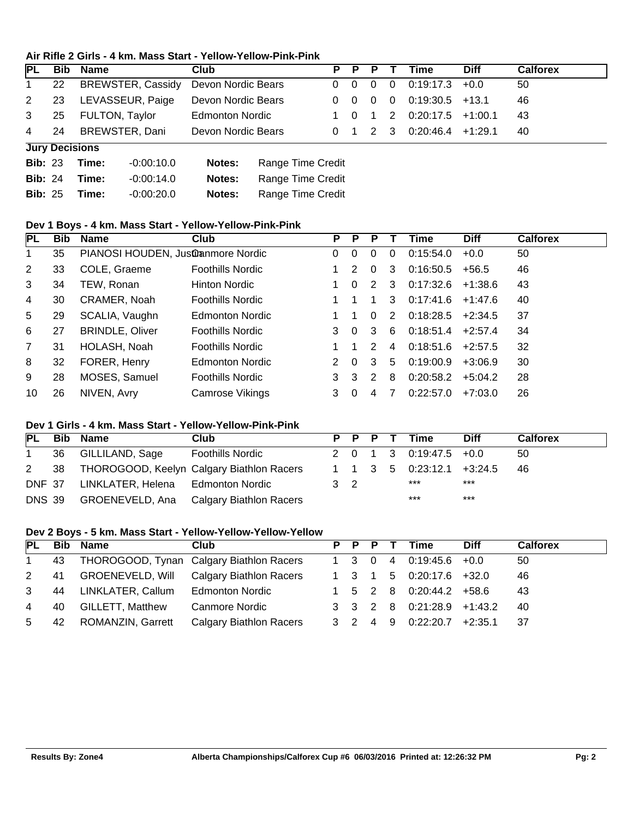#### **Air Rifle 2 Girls - 4 km. Mass Start - Yellow-Yellow-Pink-Pink**

| <b>PL</b>      |                       | <b>Bib Name</b>                      | Club                        |             | P P P          |                | Time              | <b>Diff</b> | <b>Calforex</b> |
|----------------|-----------------------|--------------------------------------|-----------------------------|-------------|----------------|----------------|-------------------|-------------|-----------------|
| $\mathbf{1}$   | 22                    | BREWSTER, Cassidy Devon Nordic Bears |                             | $0\quad 0$  | $\Omega$       | $\overline{0}$ | 0:19:17.3         | $+0.0$      | 50              |
| 2              | 23                    | LEVASSEUR, Paige                     | Devon Nordic Bears          | $0\quad 0$  | $\overline{0}$ | $\overline{0}$ | $0:19:30.5$ +13.1 |             | 46              |
| 3              |                       | 25 FULTON, Taylor                    | <b>Edmonton Nordic</b>      | 1 0         |                |                | 1 2 0:20:17.5     | $+1:00.1$   | 43              |
| $\overline{4}$ | -24                   | BREWSTER, Dani                       | Devon Nordic Bears          | $0 \quad 1$ | 2 3            |                | 0:20:46.4         | $+1:29.1$   | 40              |
|                | <b>Jury Decisions</b> |                                      |                             |             |                |                |                   |             |                 |
| <b>Bib: 23</b> |                       | $-0.00:10.0$<br>Time:                | Range Time Credit<br>Notes: |             |                |                |                   |             |                 |

| <b>Bib: 24 Time:</b> | $-0.00114.0$ | Notes: | Range Time Credit |
|----------------------|--------------|--------|-------------------|
| <b>Bib: 25 Time:</b> | -0:00:20.0   | Notes: | Range Time Credit |

# **Dev 1 Boys - 4 km. Mass Start - Yellow-Yellow-Pink-Pink**

| PL             | <b>Bib</b> | <b>Name</b>                       | <b>Club</b>             | P | P        | P             |                | Time      | <b>Diff</b> | <b>Calforex</b> |
|----------------|------------|-----------------------------------|-------------------------|---|----------|---------------|----------------|-----------|-------------|-----------------|
| 1.             | 35         | PIANOSI HOUDEN, Justimmore Nordic |                         | 0 | 0        | 0             | 0              | 0:15:54.0 | $+0.0$      | 50              |
| 2              | 33         | COLE, Graeme                      | <b>Foothills Nordic</b> |   | 2        | $\Omega$      | 3              | 0:16:50.5 | $+56.5$     | 46              |
| 3              | 34         | TEW, Ronan                        | Hinton Nordic           |   | $\Omega$ | 2             | 3              | 0:17:32.6 | $+1:38.6$   | 43              |
| 4              | 30         | CRAMER, Noah                      | <b>Foothills Nordic</b> |   |          |               | 3              | 0:17:41.6 | $+1:47.6$   | 40              |
| 5              | 29         | SCALIA, Vaughn                    | Edmonton Nordic         |   |          | 0             | 2              | 0:18:28.5 | $+2:34.5$   | 37              |
| 6              | 27         | <b>BRINDLE, Oliver</b>            | <b>Foothills Nordic</b> | 3 | $\Omega$ | 3             | 6              | 0:18:51.4 | $+2:57.4$   | 34              |
| $\overline{7}$ | 31         | HOLASH, Noah                      | <b>Foothills Nordic</b> |   |          | $\mathcal{P}$ | $\overline{4}$ | 0:18:51.6 | $+2:57.5$   | 32              |
| 8              | 32         | FORER, Henry                      | Edmonton Nordic         | 2 | $\Omega$ | 3             | 5.             | 0:19:00.9 | $+3:06.9$   | 30              |
| 9              | 28         | MOSES, Samuel                     | <b>Foothills Nordic</b> | 3 | 3        | $\mathcal{P}$ | 8              | 0:20:58.2 | $+5:04.2$   | 28              |
| 10             | 26         | NIVEN, Avry                       | Camrose Vikings         | 3 | 0        | 4             |                | 0:22:57.0 | $+7:03.0$   | 26              |

#### **Dev 1 Girls - 4 km. Mass Start - Yellow-Yellow-Pink-Pink**

| <b>PL</b> | <b>Bib Name</b>                          | Club                                           |     |  | P P P T | Time                                                      | <b>Diff</b> | <b>Calforex</b> |
|-----------|------------------------------------------|------------------------------------------------|-----|--|---------|-----------------------------------------------------------|-------------|-----------------|
|           | 36 GILLILAND, Sage                       | <b>Foothills Nordic</b>                        |     |  |         | 2 0 1 3 0:19:47.5 +0.0                                    |             | -50             |
|           |                                          | 2 38 THOROGOOD, Keelyn Calgary Biathlon Racers |     |  |         | $1 \quad 1 \quad 3 \quad 5 \quad 0.23:12.1 \quad +3.24.5$ |             | -46             |
|           | DNF 37 LINKLATER, Helena Edmonton Nordic |                                                | 3 2 |  |         | ***                                                       | $***$       |                 |
|           |                                          | DNS 39 GROENEVELD, Ana Calgary Biathlon Racers |     |  |         | ***                                                       | $***$       |                 |

## **Dev 2 Boys - 5 km. Mass Start - Yellow-Yellow-Yellow-Yellow**

| PL           | <b>Bib</b> | Name                              | Club                                     |       | P P P T | Time                                                      | Diff | <b>Calforex</b> |
|--------------|------------|-----------------------------------|------------------------------------------|-------|---------|-----------------------------------------------------------|------|-----------------|
| $\mathbf{1}$ | 43         |                                   | THOROGOOD, Tynan Calgary Biathlon Racers | 1 3 0 |         | 4 0:19:45.6 +0.0                                          |      | 50              |
| $\mathbf{2}$ | 41         |                                   | GROENEVELD, Will Calgary Biathlon Racers |       |         | 1 3 1 5 0:20:17.6 +32.0                                   |      | 46              |
| 3            | 44         | LINKLATER, Callum Edmonton Nordic |                                          |       |         | $1 \quad 5 \quad 2 \quad 8 \quad 0.20.44.2 \quad +58.6$   |      | 43              |
| 4            | 40         | <b>GILLETT, Matthew</b>           | <b>Canmore Nordic</b>                    |       |         | $3 \quad 3 \quad 2 \quad 8 \quad 0:21:28.9 \quad +1:43.2$ |      | 40              |
| 5            |            | 42 ROMANZIN, Garrett              | Calgary Biathlon Racers                  |       |         | $3 \quad 2 \quad 4 \quad 9 \quad 0:22:20.7 \quad +2:35.1$ |      | - 37            |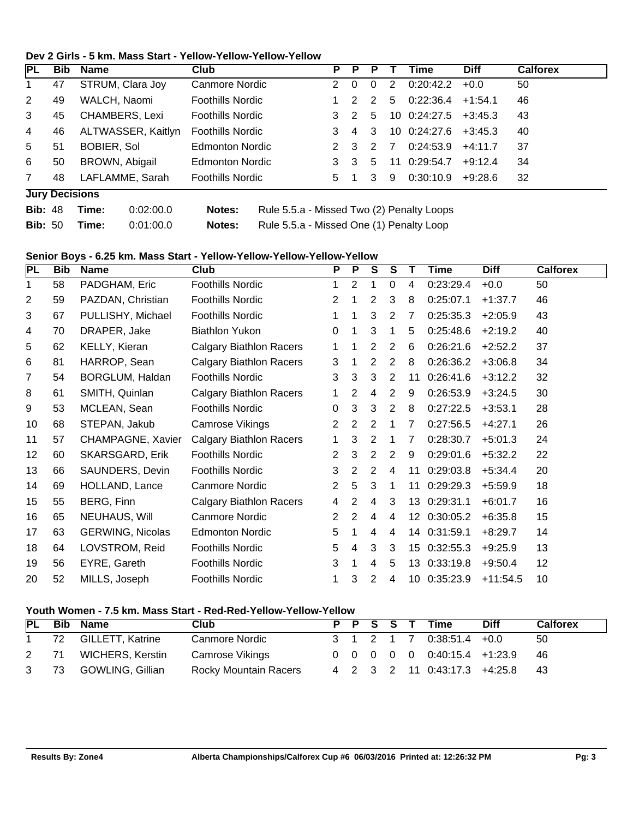#### **Dev 2 Girls - 5 km. Mass Start - Yellow-Yellow-Yellow-Yellow**

| <b>PL</b>      | Bib.                  | Name                  | Club                                                | P              | Р             |   |    | Time         | <b>Diff</b> | <b>Calforex</b> |
|----------------|-----------------------|-----------------------|-----------------------------------------------------|----------------|---------------|---|----|--------------|-------------|-----------------|
|                | 47                    | STRUM, Clara Joy      | Canmore Nordic                                      | 2              | $\Omega$      | 0 | 2  | 0:20:42.2    | $+0.0$      | 50              |
| 2              | 49                    | WALCH, Naomi          | <b>Foothills Nordic</b>                             |                | $\mathcal{P}$ | 2 | 5  | 0:22:36.4    | $+1:54.1$   | 46              |
| 3              | 45                    | <b>CHAMBERS, Lexi</b> | <b>Foothills Nordic</b>                             | 3              | $\mathcal{P}$ | 5 |    | 10 0:24:27.5 | $+3:45.3$   | 43              |
| 4              | 46                    | ALTWASSER, Kaitlyn    | <b>Foothills Nordic</b>                             | 3              | 4             | 3 |    | 10 0:24:27.6 | $+3:45.3$   | 40              |
| 5              | 51                    | <b>BOBIER, Sol</b>    | <b>Edmonton Nordic</b>                              | 2 3            |               | 2 | 7  | 0:24:53.9    | $+4:11.7$   | 37              |
| 6              | 50                    | BROWN, Abigail        | <b>Edmonton Nordic</b>                              | 3              | -3            | 5 | 11 | 0:29:54.7    | $+9:12.4$   | 34              |
| $\overline{7}$ | 48                    | LAFLAMME, Sarah       | <b>Foothills Nordic</b>                             | 5 <sub>1</sub> |               | 3 | -9 | 0:30:10.9    | +9:28.6     | 32              |
|                | <b>Jury Decisions</b> |                       |                                                     |                |               |   |    |              |             |                 |
| <b>Bib: 48</b> |                       | 0:02:00.0<br>Time:    | Rule 5.5.a - Missed Two (2) Penalty Loops<br>Notes: |                |               |   |    |              |             |                 |

# **Bib:** 50 **Time:** 0:01:00.0 **Notes:** Rule 5.5.a - Missed One (1) Penalty Loop

## **Senior Boys - 6.25 km. Mass Start - Yellow-Yellow-Yellow-Yellow-Yellow**

| PL             | <b>Bib</b> | <b>Name</b>             | <b>Club</b>                    | P              | $\overline{P}$ | $\overline{\mathsf{s}}$ | $\overline{\mathsf{s}}$ |                  | <b>Time</b>  | <b>Diff</b> | <b>Calforex</b> |
|----------------|------------|-------------------------|--------------------------------|----------------|----------------|-------------------------|-------------------------|------------------|--------------|-------------|-----------------|
| 1              | 58         | PADGHAM, Eric           | <b>Foothills Nordic</b>        | 1              | 2              |                         | 0                       | 4                | 0:23:29.4    | $+0.0$      | 50              |
| $\overline{c}$ | 59         | PAZDAN, Christian       | <b>Foothills Nordic</b>        | 2              | 1              | 2                       | 3                       | 8                | 0:25:07.1    | $+1:37.7$   | 46              |
| 3              | 67         | PULLISHY, Michael       | <b>Foothills Nordic</b>        | 1              | 1              | 3                       | 2                       | 7                | 0:25:35.3    | $+2:05.9$   | 43              |
| 4              | 70         | DRAPER, Jake            | <b>Biathlon Yukon</b>          | 0              | 1              | 3                       | 1                       | 5                | 0:25:48.6    | $+2:19.2$   | 40              |
| 5              | 62         | KELLY, Kieran           | <b>Calgary Biathlon Racers</b> | 1              | 1              | $\overline{2}$          | $\overline{2}$          | 6                | 0:26:21.6    | $+2:52.2$   | 37              |
| 6              | 81         | HARROP, Sean            | <b>Calgary Biathlon Racers</b> | $\mathbf{3}$   |                | $\overline{2}$          | $\overline{2}$          | 8                | 0:26:36.2    | $+3:06.8$   | 34              |
| $\overline{7}$ | 54         | BORGLUM, Haldan         | <b>Foothills Nordic</b>        | 3              | 3              | 3                       | $\overline{2}$          | 11               | 0:26:41.6    | $+3:12.2$   | 32              |
| 8              | 61         | SMITH, Quinlan          | <b>Calgary Biathlon Racers</b> | 1              | $\overline{2}$ | 4                       | $\overline{2}$          | 9                | 0:26:53.9    | $+3:24.5$   | 30              |
| 9              | 53         | MCLEAN, Sean            | <b>Foothills Nordic</b>        | 0              | $\mathfrak{S}$ | 3                       | $\overline{2}$          | 8                | 0:27:22.5    | $+3:53.1$   | 28              |
| 10             | 68         | STEPAN, Jakub           | Camrose Vikings                | 2              | 2              | $\overline{2}$          | 1                       | 7                | 0:27:56.5    | $+4:27.1$   | 26              |
| 11             | 57         | CHAMPAGNE, Xavier       | <b>Calgary Biathlon Racers</b> | 1              | 3              | 2                       | 1                       | 7                | 0:28:30.7    | $+5:01.3$   | 24              |
| 12             | 60         | <b>SKARSGARD, Erik</b>  | <b>Foothills Nordic</b>        | 2              | 3              | $\overline{2}$          | $\overline{2}$          | 9                | 0:29:01.6    | $+5:32.2$   | 22              |
| 13             | 66         | SAUNDERS, Devin         | <b>Foothills Nordic</b>        | $\mathbf{3}$   | $\overline{2}$ | $\overline{2}$          | 4                       | 11               | 0:29:03.8    | $+5:34.4$   | 20              |
| 14             | 69         | HOLLAND, Lance          | <b>Canmore Nordic</b>          | $\overline{2}$ | 5              | 3                       | 1                       | 11               | 0:29:29.3    | $+5:59.9$   | 18              |
| 15             | 55         | BERG, Finn              | <b>Calgary Biathlon Racers</b> | 4              | 2              | 4                       | 3                       | 13               | 0:29:31.1    | $+6:01.7$   | 16              |
| 16             | 65         | NEUHAUS, Will           | <b>Canmore Nordic</b>          | 2              | 2              | 4                       | 4                       | 12               | 0:30:05.2    | $+6:35.8$   | 15              |
| 17             | 63         | <b>GERWING, Nicolas</b> | <b>Edmonton Nordic</b>         | 5              | 1              | 4                       | 4                       |                  | 14 0:31:59.1 | $+8:29.7$   | 14              |
| 18             | 64         | LOVSTROM, Reid          | <b>Foothills Nordic</b>        | 5              | 4              | 3                       | 3                       | 15 <sub>15</sub> | 0:32:55.3    | $+9:25.9$   | 13              |
| 19             | 56         | EYRE, Gareth            | <b>Foothills Nordic</b>        | 3              | 1              | 4                       | 5                       | 13               | 0:33:19.8    | $+9:50.4$   | 12              |
| 20             | 52         | MILLS, Joseph           | <b>Foothills Nordic</b>        | 1              | 3              | 2                       | 4                       | 10 <sup>°</sup>  | 0:35:23.9    | $+11:54.5$  | 10              |

# **Youth Women - 7.5 km. Mass Start - Red-Red-Yellow-Yellow-Yellow**

| <b>PL</b> | <b>Bib Name</b>       | Club                  |  |  | P P S S T Time                                                    | <b>Diff</b> | <b>Calforex</b> |
|-----------|-----------------------|-----------------------|--|--|-------------------------------------------------------------------|-------------|-----------------|
|           | 72 GILLETT, Katrine   | Canmore Nordic        |  |  | 3 1 2 1 7 0:38:51.4 +0.0                                          |             | -50             |
|           | 2 71 WICHERS, Kerstin | Camrose Vikings       |  |  | $0 \quad 0 \quad 0 \quad 0 \quad 0 \quad 0.40:15.4 \quad +1:23.9$ |             | - 46            |
|           | 3 73 GOWLING, Gillian | Rocky Mountain Racers |  |  | 4 2 3 2 11 0:43:17.3 +4:25.8 43                                   |             |                 |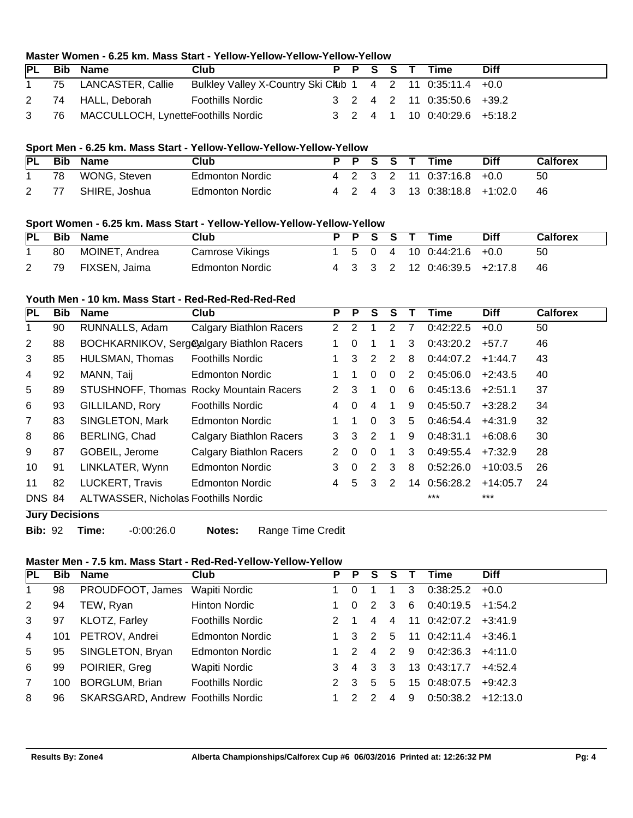# **Master Women - 6.25 km. Mass Start - Yellow-Yellow-Yellow-Yellow-Yellow**

| <b>PL</b>    | Bib | Name                                     | Club                                                      |  |  |  |  |  | P P S S T Time               | <b>Diff</b> |  |
|--------------|-----|------------------------------------------|-----------------------------------------------------------|--|--|--|--|--|------------------------------|-------------|--|
| $\mathbf{1}$ |     | 75 LANCASTER, Callie                     | Bulkley Valley X-Country Ski CAub 1 4 2 11 0:35:11.4 +0.0 |  |  |  |  |  |                              |             |  |
|              |     | 2 74 HALL, Deborah                       | Foothills Nordic                                          |  |  |  |  |  | 3 2 4 2 11 0:35:50.6 +39.2   |             |  |
|              |     | 3 76 MACCULLOCH, LynetteFoothills Nordic |                                                           |  |  |  |  |  | 3 2 4 1 10 0:40:29.6 +5:18.2 |             |  |

## **Sport Men - 6.25 km. Mass Start - Yellow-Yellow-Yellow-Yellow-Yellow**

|     | PL Bib Name   | Club                   |  |  | P P S S T Time               | <b>Diff</b> | Calforex |
|-----|---------------|------------------------|--|--|------------------------------|-------------|----------|
| 78  | WONG. Steven  | <b>Edmonton Nordic</b> |  |  | 4 2 3 2 11 0:37:16.8 +0.0    |             | 50       |
| -77 | SHIRE, Joshua | Edmonton Nordic        |  |  | 4 2 4 3 13 0:38:18.8 +1:02.0 |             | - 46     |

## **Sport Women - 6.25 km. Mass Start - Yellow-Yellow-Yellow-Yellow-Yellow**

|    | PL Bib Name    | Club            |  |  | P P S S T Time                                                  | Diff | <b>Calforex</b> |
|----|----------------|-----------------|--|--|-----------------------------------------------------------------|------|-----------------|
| 80 | MOINET, Andrea | Camrose Vikings |  |  | $1 \quad 5 \quad 0 \quad 4 \quad 10 \quad 0.44.21.6 \quad +0.0$ |      | 50              |
| 79 | FIXSEN, Jaima  | Edmonton Nordic |  |  | 4 3 3 2 12 0:46:39.5 +2:17.8                                    |      | - 46            |

## **Youth Men - 10 km. Mass Start - Red-Red-Red-Red-Red**

| PL             | <b>Bib</b> | <b>Name</b>                                 | Club                                      | P              | P        | S        | S        |    | Time      | <b>Diff</b> | <b>Calforex</b> |
|----------------|------------|---------------------------------------------|-------------------------------------------|----------------|----------|----------|----------|----|-----------|-------------|-----------------|
|                | 90         | RUNNALLS, Adam                              | <b>Calgary Biathlon Racers</b>            | $\overline{2}$ | 2        |          | 2        | 7  | 0:42:22.5 | $+0.0$      | 50              |
| $\overline{2}$ | 88         |                                             | BOCHKARNIKOV, Sergealgary Biathlon Racers | 1              | 0        |          |          | 3  | 0:43:20.2 | $+57.7$     | 46              |
| 3              | 85         | HULSMAN, Thomas                             | <b>Foothills Nordic</b>                   |                | 3        | 2        | 2        | 8  | 0:44:07.2 | $+1:44.7$   | 43              |
| 4              | 92         | MANN, Taij                                  | <b>Edmonton Nordic</b>                    |                |          | 0        | $\Omega$ | 2  | 0:45:06.0 | $+2:43.5$   | 40              |
| 5              | 89         |                                             | STUSHNOFF, Thomas Rocky Mountain Racers   | 2              | 3        |          | $\Omega$ | 6  | 0:45:13.6 | $+2:51.1$   | 37              |
| 6              | 93         | GILLILAND, Rory                             | <b>Foothills Nordic</b>                   | 4              | $\Omega$ | 4        | 1        | 9  | 0:45:50.7 | $+3:28.2$   | 34              |
| 7              | 83         | SINGLETON, Mark                             | Edmonton Nordic                           |                |          | $\Omega$ | 3        | 5  | 0:46:54.4 | $+4:31.9$   | 32              |
| 8              | 86         | BERLING, Chad                               | <b>Calgary Biathlon Racers</b>            | 3              | 3        | 2        |          | 9  | 0:48:31.1 | $+6:08.6$   | 30              |
| 9              | 87         | GOBEIL, Jerome                              | <b>Calgary Biathlon Racers</b>            | 2              | $\Omega$ | $\Omega$ |          | 3  | 0:49:55.4 | $+7:32.9$   | 28              |
| 10             | 91         | LINKLATER, Wynn                             | <b>Edmonton Nordic</b>                    | 3              | $\Omega$ | 2        | 3        | 8  | 0:52:26.0 | $+10:03.5$  | 26              |
| 11             | 82         | LUCKERT, Travis                             | <b>Edmonton Nordic</b>                    | 4              | 5        | 3        | 2        | 14 | 0:56:28.2 | $+14:05.7$  | 24              |
| <b>DNS 84</b>  |            | <b>ALTWASSER, Nicholas Foothills Nordic</b> |                                           |                |          |          |          |    | $***$     | $***$       |                 |

## **Jury Decisions**

**Bib:** 92 **Time:** -0:00:26.0 **Notes:** Range Time Credit

#### **Master Men - 7.5 km. Mass Start - Red-Red-Yellow-Yellow-Yellow**

| PL             | <b>Bib</b> | Name                               | Club                    | P. | P.            | S.             | S.             |     | Time                     | <b>Diff</b> |
|----------------|------------|------------------------------------|-------------------------|----|---------------|----------------|----------------|-----|--------------------------|-------------|
| 1              | 98         | PROUDFOOT, James                   | Wapiti Nordic           |    | $\Omega$      |                |                | 3   | 0:38:25.2                | $+0.0$      |
| 2              | 94         | TEW, Ryan                          | Hinton Nordic           |    | $\Omega$      | 2              | - 3            | -6  | $0:40:19.5$ +1:54.2      |             |
| 3              | 97         | KLOTZ, Farley                      | <b>Foothills Nordic</b> |    |               | $\overline{4}$ | $\overline{4}$ |     | 11 0:42:07.2             | $+3:41.9$   |
| 4              | 101        | PETROV, Andrei                     | <b>Edmonton Nordic</b>  |    | 3             | $\overline{2}$ | 5              |     | $11 \t0:42:11.4 +3:46.1$ |             |
| 5              | 95         | SINGLETON, Bryan                   | <b>Edmonton Nordic</b>  |    | $\mathcal{P}$ | $\overline{4}$ | 2              | - 9 | 0:42:36.3                | $+4:11.0$   |
| 6              | 99         | POIRIER, Greg                      | Wapiti Nordic           | 3  |               | 4 3            | -3             |     | 13 0:43:17.7             | $+4:52.4$   |
| $\overline{7}$ | 100        | <b>BORGLUM, Brian</b>              | <b>Foothills Nordic</b> |    | 3             | 5              | 5              |     | 15 0:48:07.5             | $+9:42.3$   |
| 8              | 96         | SKARSGARD, Andrew Foothills Nordic |                         |    |               |                | 4              | 9   | 0:50:38.2                | $+12:13.0$  |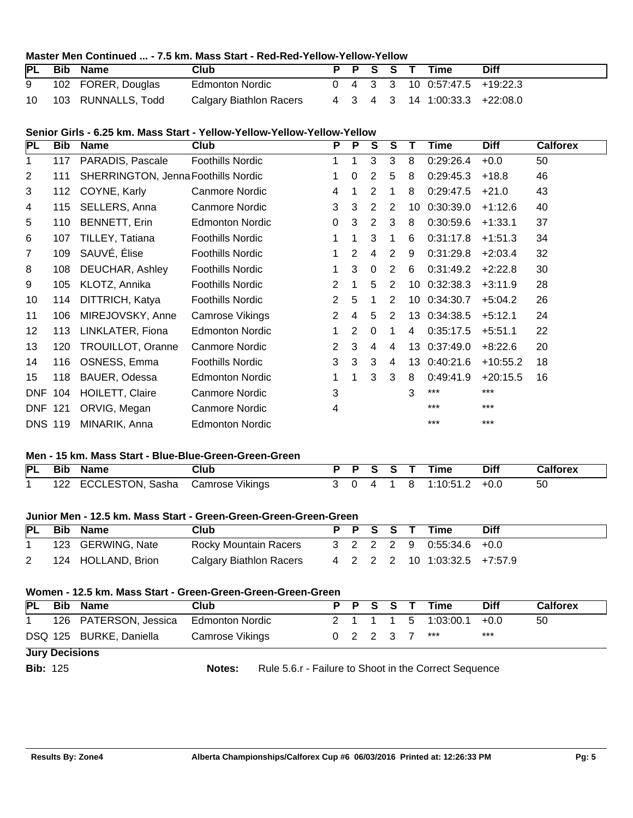## **Master Men Continued ... - 7.5 km. Mass Start - Red-Red-Yellow-Yellow-Yellow**

| <b>PL</b> | Bib | <b>Name</b>           | Club                    |  |  | P P S S T Time                  | <b>Diff</b> |
|-----------|-----|-----------------------|-------------------------|--|--|---------------------------------|-------------|
| 9         |     | 102 FORER, Douglas    | <b>Edmonton Nordic</b>  |  |  | $0$ 4 3 3 10 0:57:47.5 +19:22.3 |             |
|           |     | 10 103 RUNNALLS, Todd | Calgary Biathlon Racers |  |  | 4 3 4 3 14 1:00:33.3 +22:08.0   |             |

## **Senior Girls - 6.25 km. Mass Start - Yellow-Yellow-Yellow-Yellow-Yellow**

| <b>PL</b>      | <b>Bib</b> | <b>Name</b>                                | <b>Club</b>             | P              | $\overline{P}$ | S        | S              |    | Time      | <b>Diff</b> | <b>Calforex</b> |
|----------------|------------|--------------------------------------------|-------------------------|----------------|----------------|----------|----------------|----|-----------|-------------|-----------------|
| 1              | 117        | PARADIS, Pascale                           | <b>Foothills Nordic</b> |                |                | 3        | 3              | 8  | 0:29:26.4 | $+0.0$      | 50              |
| 2              | 111        | <b>SHERRINGTON, Jenna Foothills Nordic</b> |                         |                | 0              | 2        | 5              | 8  | 0:29:45.3 | $+18.8$     | 46              |
| 3              | 112        | COYNE, Karly                               | Canmore Nordic          | 4              |                | 2        | 1              | 8  | 0:29:47.5 | $+21.0$     | 43              |
| 4              | 115        | SELLERS, Anna                              | Canmore Nordic          | 3              | 3              | 2        | 2              | 10 | 0:30:39.0 | $+1:12.6$   | 40              |
| 5              | 110        | BENNETT, Erin                              | <b>Edmonton Nordic</b>  | $\Omega$       | 3              | 2        | 3              | 8  | 0:30:59.6 | $+1:33.1$   | 37              |
| 6              | 107        | TILLEY, Tatiana                            | <b>Foothills Nordic</b> |                |                | 3        | 1              | 6  | 0:31:17.8 | $+1:51.3$   | 34              |
| 7              | 109        | SAUVÉ, Élise                               | <b>Foothills Nordic</b> |                | 2              | 4        | 2              | 9  | 0:31:29.8 | $+2:03.4$   | 32              |
| 8              | 108        | DEUCHAR, Ashley                            | <b>Foothills Nordic</b> |                | 3              | $\Omega$ | 2              | 6  | 0:31:49.2 | $+2:22.8$   | 30              |
| 9              | 105        | KLOTZ, Annika                              | <b>Foothills Nordic</b> | 2              |                | 5        | 2              | 10 | 0:32:38.3 | $+3:11.9$   | 28              |
| 10             | 114        | DITTRICH, Katya                            | <b>Foothills Nordic</b> | 2              | 5              |          | $\overline{2}$ | 10 | 0:34:30.7 | $+5:04.2$   | 26              |
| 11             | 106        | MIREJOVSKY, Anne                           | Camrose Vikings         | $\overline{2}$ | 4              | 5        | 2              | 13 | 0:34:38.5 | $+5:12.1$   | 24              |
| 12             | 113        | LINKLATER, Fiona                           | <b>Edmonton Nordic</b>  | 1              | 2              | 0        |                | 4  | 0:35:17.5 | $+5:51.1$   | 22              |
| 13             | 120        | TROUILLOT, Oranne                          | Canmore Nordic          | 2              | 3              | 4        | 4              | 13 | 0:37:49.0 | $+8:22.6$   | 20              |
| 14             | 116        | OSNESS, Emma                               | <b>Foothills Nordic</b> | 3              | 3              | 3        | 4              | 13 | 0:40:21.6 | $+10:55.2$  | 18              |
| 15             | 118        | BAUER, Odessa                              | <b>Edmonton Nordic</b>  |                |                | 3        | 3              | 8  | 0:49:41.9 | $+20:15.5$  | 16              |
| <b>DNF</b>     | 104        | HOILETT, Claire                            | Canmore Nordic          | 3              |                |          |                | 3  | ***       | $***$       |                 |
| <b>DNF 121</b> |            | ORVIG, Megan                               | <b>Canmore Nordic</b>   | 4              |                |          |                |    | $***$     | $***$       |                 |
| <b>DNS 119</b> |            | MINARIK, Anna                              | <b>Edmonton Nordic</b>  |                |                |          |                |    | ***       | $***$       |                 |

#### **Men - 15 km. Mass Start - Blue-Blue-Green-Green-Green**

|  | PL Bib Name                          | Club |  |  | P P S S T Time           | Diff | <b>Calforex</b> |
|--|--------------------------------------|------|--|--|--------------------------|------|-----------------|
|  | 122 ECCLESTON, Sasha Camrose Vikings |      |  |  | 3 0 4 1 8 1:10:51.2 +0.0 |      | - 50            |

#### **Junior Men - 12.5 km. Mass Start - Green-Green-Green-Green-Green**

|  | PL Bib Name        | Club                                           |  |  | P P S S T Time               | <b>Diff</b> |
|--|--------------------|------------------------------------------------|--|--|------------------------------|-------------|
|  | 123 GERWING, Nate  | Rocky Mountain Racers 3 2 2 2 9 0:55:34.6 +0.0 |  |  |                              |             |
|  | 124 HOLLAND, Brion | Calgary Biathlon Racers                        |  |  | 4 2 2 2 10 1:03:32.5 +7:57.9 |             |

#### **Women - 12.5 km. Mass Start - Green-Green-Green-Green-Green**

| <b>PL</b>             | <b>Bib</b> | Name                                  | Club            |  |  |  |  |  | P P S S T Time           | <b>Diff</b> | <b>Calforex</b> |
|-----------------------|------------|---------------------------------------|-----------------|--|--|--|--|--|--------------------------|-------------|-----------------|
|                       |            | 126 PATERSON, Jessica Edmonton Nordic |                 |  |  |  |  |  | 2 1 1 1 5 1:03:00.1 +0.0 |             | 50              |
|                       |            | DSQ 125 BURKE, Daniella               | Camrose Vikings |  |  |  |  |  | 0 2 2 3 7 ***            | $***$       |                 |
| <b>Jury Decisions</b> |            |                                       |                 |  |  |  |  |  |                          |             |                 |

**Bib:** 125 **Notes:** Rule 5.6.r - Failure to Shoot in the Correct Sequence